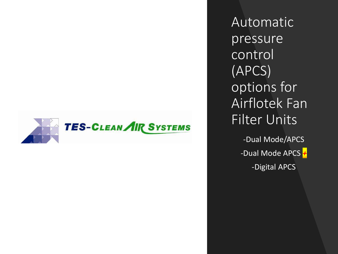

Automatic pressure control (APCS) options for Airflotek Fan Filter Units -Dual Mode/APCS -Dual Mode APCS *+*

-Digital APCS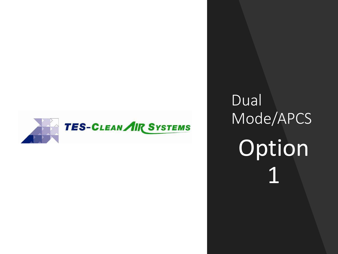

Dual Mode/APCS Option 1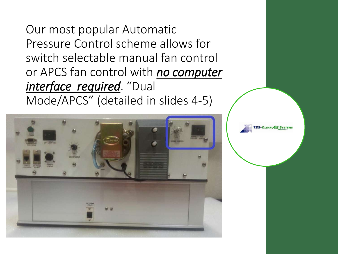Our most popular Automatic Pressure Control scheme allows for switch selectable manual fan control or APCS fan control with *no computer interface required*. "Dual Mode/APCS" (detailed in slides 4-5)

**ES-CLEAN AIR SYSTEM** 

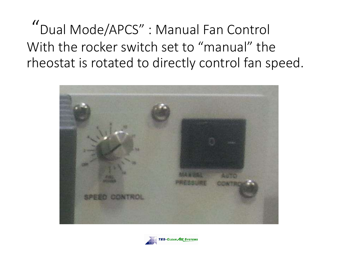"Dual Mode/APCS" : Manual Fan Control With the rocker switch set to "manual" the rheostat is rotated to directly control fan speed.



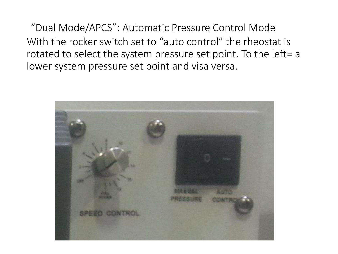"Dual Mode/APCS": Automatic Pressure Control Mode With the rocker switch set to "auto control" the rheostat is rotated to select the system pressure set point. To the left= a lower system pressure set point and visa versa.

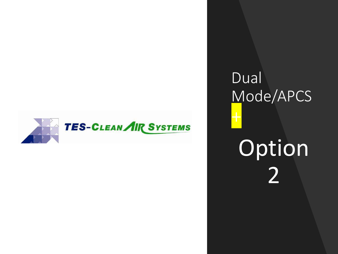

## Dual Mode/APCS Option 2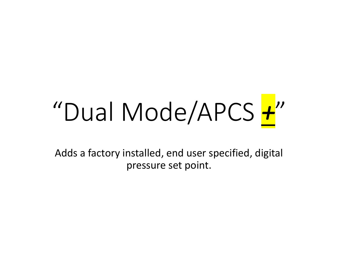# "Dual Mode/APCS *+*"

Adds a factory installed, end user specified, digital pressure set point.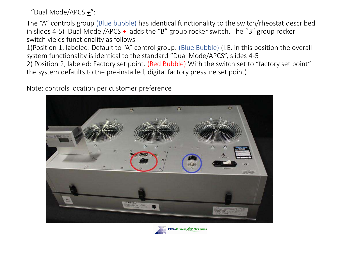"Dual Mode/APCS *+*":

The "A" controls group (Blue bubble) has identical functionality to the switch/rheostat described in slides 4-5) Dual Mode /APCS + adds the "B" group rocker switch. The "B" group rocker switch yields functionality as follows.

1)Position 1, labeled: Default to "A" control group. (Blue Bubble) (I.E. in this position the overall system functionality is identical to the standard "Dual Mode/APCS", slides 4-5 2) Position 2, labeled: Factory set point. (Red Bubble) With the switch set to "factory set point" the system defaults to the pre-installed, digital factory pressure set point)

Note: controls location per customer preference

![](_page_7_Picture_4.jpeg)

![](_page_7_Picture_5.jpeg)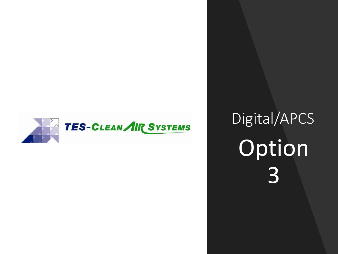![](_page_8_Picture_0.jpeg)

#### Digital/APCS Option 3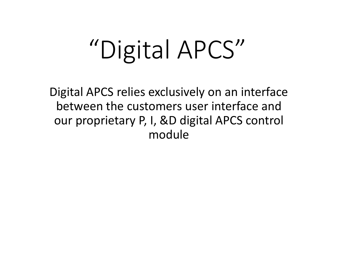## "Digital APCS"

Digital APCS relies exclusively on an interface between the customers user interface and our proprietary P, I, &D digital APCS control module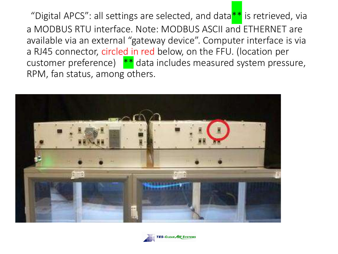"Digital APCS": all settings are selected, and data<sup>\*\*</sup> is retrieved, via a MODBUS RTU interface. Note: MODBUS ASCII and ETHERNET are available via an external "gateway device". Computer interface is via a RJ45 connector, circled in red below, on the FFU. (location per customer preference)  $*$  data includes measured system pressure, RPM, fan status, among others.

![](_page_10_Picture_1.jpeg)

![](_page_10_Picture_2.jpeg)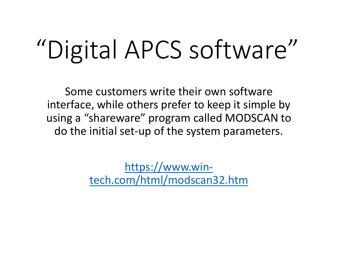### "Digital APCS software"

Some customers write their own software interface, while others prefer to keep it simple by using a "shareware" program called MODSCAN to do the initial set-up of the system parameters.

> https://www.win[tech.com/html/modscan32.htm](https://www.win-tech.com/html/modscan32.htm)